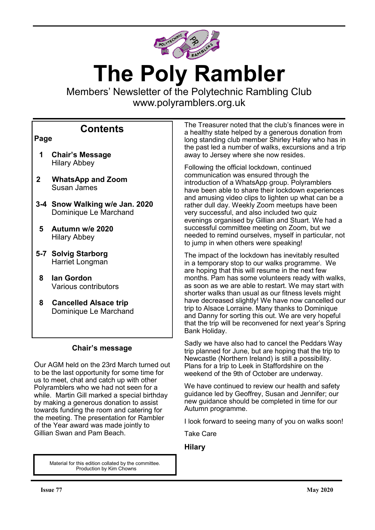

# **The Poly Rambler**

Members' Newsletter of the Polytechnic Rambling Club www.polyramblers.org.uk

# **Contents**

## **Page**

- **1 Chair's Message** Hilary Abbey
- **2 WhatsApp and Zoom** Susan James
- **3-4 Snow Walking w/e Jan. 2020** Dominique Le Marchand
- **5 Autumn w/e 2020** Hilary Abbey
- **5-7 Solvig Starborg** Harriet Longman
- **8 Ian Gordon** Various contributors
- **8 Cancelled Alsace trip** Dominique Le Marchand

## **Chair's message**

Our AGM held on the 23rd March turned out to be the last opportunity for some time for us to meet, chat and catch up with other Polyramblers who we had not seen for a while. Martin Gill marked a special birthday by making a generous donation to assist towards funding the room and catering for the meeting. The presentation for Rambler of the Year award was made jointly to Gillian Swan and Pam Beach.

> Material for this edition collated by the committee. Production by Kim Chowns

The Treasurer noted that the club's finances were in a healthy state helped by a generous donation from long standing club member Shirley Hafey who has in the past led a number of walks, excursions and a trip away to Jersey where she now resides.

Following the official lockdown, continued communication was ensured through the introduction of a WhatsApp group. Polyramblers have been able to share their lockdown experiences and amusing video clips to lighten up what can be a rather dull day. Weekly Zoom meetups have been very successful, and also included two quiz evenings organised by Gillian and Stuart. We had a successful committee meeting on Zoom, but we needed to remind ourselves, myself in particular, not to jump in when others were speaking!

The impact of the lockdown has inevitably resulted in a temporary stop to our walks programme. We are hoping that this will resume in the next few months. Pam has some volunteers ready with walks, as soon as we are able to restart. We may start with shorter walks than usual as our fitness levels might have decreased slightly! We have now cancelled our trip to Alsace Lorraine. Many thanks to Dominique and Danny for sorting this out. We are very hopeful that the trip will be reconvened for next year's Spring Bank Holiday.

Sadly we have also had to cancel the Peddars Way trip planned for June, but are hoping that the trip to Newcastle (Northern Ireland) is still a possibility. Plans for a trip to Leek in Staffordshire on the weekend of the 9th of October are underway.

We have continued to review our health and safety guidance led by Geoffrey, Susan and Jennifer; our new guidance should be completed in time for our Autumn programme.

I look forward to seeing many of you on walks soon!

Take Care

## **Hilary**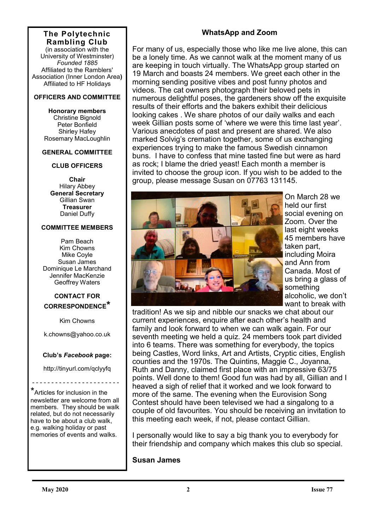#### **The Polytechnic Rambling Club**

(in association with the University of Westminster) *Founded 1885* Affiliated to the Ramblers' Association (Inner London Area**)** Affiliated to HF Holidays

#### **OFFICERS AND COMMITTEE**

**Honorary members** Christine Bignold Peter Bonfield Shirley Hafey Rosemary MacLoughlin

#### **GENERAL COMMITTEE**

#### **CLUB OFFICERS**

**Chair** Hilary Abbey **General Secretary** Gillian Swan **Treasurer** Daniel Duffy

#### **COMMITTEE MEMBERS**

Pam Beach Kim Chowns Mike Coyle Susan James Dominique Le Marchand Jennifer MacKenzie Geoffrey Waters

## **CONTACT FOR CORRESPONDENCE\***

Kim Chowns

k.chowns@yahoo.co.uk

#### **Club's** *Facebook* **page:**

http://tinyurl.com/qclyyfq

- - - - - - - - - - - - - - - - - - - - - - -

\*Articles for inclusion in the newsletter are welcome from all members. They should be walk related, but do not necessarily have to be about a club walk, e.g. walking holiday or past memories of events and walks.

# **WhatsApp and Zoom**

For many of us, especially those who like me live alone, this can be a lonely time. As we cannot walk at the moment many of us are keeping in touch virtually. The WhatsApp group started on 19 March and boasts 24 members. We greet each other in the morning sending positive vibes and post funny photos and videos. The cat owners photograph their beloved pets in numerous delightful poses, the gardeners show off the exquisite results of their efforts and the bakers exhibit their delicious looking cakes . We share photos of our daily walks and each week Gillian posts some of 'where we were this time last year'. Various anecdotes of past and present are shared. We also marked Solvig's cremation together, some of us exchanging experiences trying to make the famous Swedish cinnamon buns. I have to confess that mine tasted fine but were as hard as rock; I blame the dried yeast! Each month a member is invited to choose the group icon. If you wish to be added to the group, please message Susan on 07763 131145.



On March 28 we held our first social evening on Zoom. Over the last eight weeks 45 members have taken part, including Moira and Ann from Canada. Most of us bring a glass of something alcoholic, we don't want to break with

tradition! As we sip and nibble our snacks we chat about our current experiences, enquire after each other's health and family and look forward to when we can walk again. For our seventh meeting we held a quiz. 24 members took part divided into 6 teams. There was something for everybody, the topics being Castles, Word links, Art and Artists, Cryptic cities, English counties and the 1970s. The Quintins, Maggie C., Joyanna, Ruth and Danny, claimed first place with an impressive 63/75 points. Well done to them! Good fun was had by all, Gillian and I heaved a sigh of relief that it worked and we look forward to more of the same. The evening when the Eurovision Song Contest should have been televised we had a singalong to a couple of old favourites. You should be receiving an invitation to this meeting each week, if not, please contact Gillian.

I personally would like to say a big thank you to everybody for their friendship and company which makes this club so special.

## **Susan James**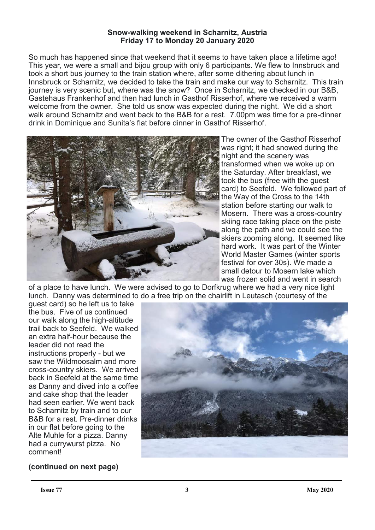#### **Snow-walking weekend in Scharnitz, Austria Friday 17 to Monday 20 January 2020**

So much has happened since that weekend that it seems to have taken place a lifetime ago! This year, we were a small and bijou group with only 6 participants. We flew to Innsbruck and took a short bus journey to the train station where, after some dithering about lunch in Innsbruck or Scharnitz, we decided to take the train and make our way to Scharnitz. This train journey is very scenic but, where was the snow? Once in Scharnitz, we checked in our B&B, Gastehaus Frankenhof and then had lunch in Gasthof Risserhof, where we received a warm welcome from the owner. She told us snow was expected during the night. We did a short walk around Scharnitz and went back to the B&B for a rest. 7.00pm was time for a pre-dinner drink in Dominique and Sunita's flat before dinner in Gasthof Risserhof.



The owner of the Gasthof Risserhof was right; it had snowed during the night and the scenery was transformed when we woke up on the Saturday. After breakfast, we took the bus (free with the guest card) to Seefeld. We followed part of the Way of the Cross to the 14th station before starting our walk to Mosern. There was a cross-country skiing race taking place on the piste along the path and we could see the skiers zooming along. It seemed like hard work. It was part of the Winter World Master Games (winter sports festival for over 30s). We made a small detour to Mosern lake which was frozen solid and went in search

of a place to have lunch. We were advised to go to Dorfkrug where we had a very nice light lunch. Danny was determined to do a free trip on the chairlift in Leutasch (courtesy of the

guest card) so he left us to take the bus. Five of us continued our walk along the high-altitude trail back to Seefeld. We walked an extra half-hour because the leader did not read the instructions properly - but we saw the Wildmoosalm and more cross-country skiers. We arrived back in Seefeld at the same time as Danny and dived into a coffee and cake shop that the leader had seen earlier. We went back to Scharnitz by train and to our B&B for a rest. Pre-dinner drinks in our flat before going to the Alte Muhle for a pizza. Danny had a currywurst pizza. No comment!



# **(continued on next page)**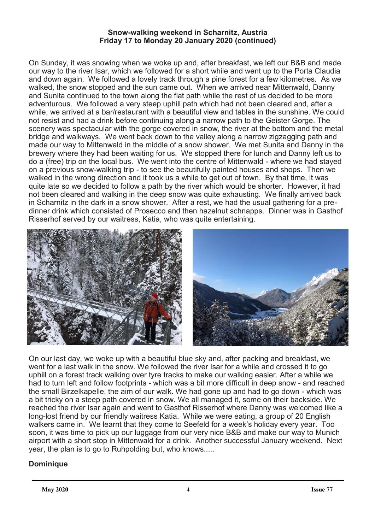## **Snow-walking weekend in Scharnitz, Austria Friday 17 to Monday 20 January 2020 (continued)**

On Sunday, it was snowing when we woke up and, after breakfast, we left our B&B and made our way to the river Isar, which we followed for a short while and went up to the Porta Claudia and down again. We followed a lovely track through a pine forest for a few kilometres. As we walked, the snow stopped and the sun came out. When we arrived near Mittenwald, Danny and Sunita continued to the town along the flat path while the rest of us decided to be more adventurous. We followed a very steep uphill path which had not been cleared and, after a while, we arrived at a bar/restaurant with a beautiful view and tables in the sunshine. We could not resist and had a drink before continuing along a narrow path to the Geister Gorge. The scenery was spectacular with the gorge covered in snow, the river at the bottom and the metal bridge and walkways. We went back down to the valley along a narrow zigzagging path and made our way to Mittenwald in the middle of a snow shower. We met Sunita and Danny in the brewery where they had been waiting for us. We stopped there for lunch and Danny left us to do a (free) trip on the local bus. We went into the centre of Mittenwald - where we had stayed on a previous snow-walking trip - to see the beautifully painted houses and shops. Then we walked in the wrong direction and it took us a while to get out of town. By that time, it was quite late so we decided to follow a path by the river which would be shorter. However, it had not been cleared and walking in the deep snow was quite exhausting. We finally arrived back in Scharnitz in the dark in a snow shower. After a rest, we had the usual gathering for a predinner drink which consisted of Prosecco and then hazelnut schnapps. Dinner was in Gasthof Risserhof served by our waitress, Katia, who was quite entertaining.



On our last day, we woke up with a beautiful blue sky and, after packing and breakfast, we went for a last walk in the snow. We followed the river Isar for a while and crossed it to go uphill on a forest track walking over tyre tracks to make our walking easier. After a while we had to turn left and follow footprints - which was a bit more difficult in deep snow - and reached the small Birzelkapelle, the aim of our walk. We had gone up and had to go down - which was a bit tricky on a steep path covered in snow. We all managed it, some on their backside. We reached the river Isar again and went to Gasthof Risserhof where Danny was welcomed like a long-lost friend by our friendly waitress Katia. While we were eating, a group of 20 English walkers came in. We learnt that they come to Seefeld for a week's holiday every year. Too soon, it was time to pick up our luggage from our very nice B&B and make our way to Munich airport with a short stop in Mittenwald for a drink. Another successful January weekend. Next year, the plan is to go to Ruhpolding but, who knows.....

# **Dominique**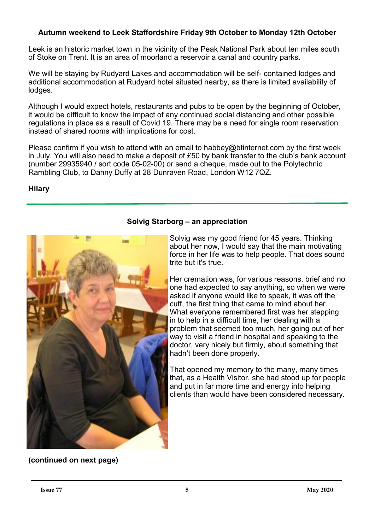# **Autumn weekend to Leek Staffordshire Friday 9th October to Monday 12th October**

Leek is an historic market town in the vicinity of the Peak National Park about ten miles south of Stoke on Trent. It is an area of moorland a reservoir a canal and country parks.

We will be staying by Rudyard Lakes and accommodation will be self- contained lodges and additional accommodation at Rudyard hotel situated nearby, as there is limited availability of lodges.

Although I would expect hotels, restaurants and pubs to be open by the beginning of October, it would be difficult to know the impact of any continued social distancing and other possible regulations in place as a result of Covid 19. There may be a need for single room reservation instead of shared rooms with implications for cost.

Please confirm if you wish to attend with an email to habbey@btinternet.com by the first week in July. You will also need to make a deposit of £50 by bank transfer to the club's bank account (number 29935940 / sort code 05-02-00) or send a cheque, made out to the Polytechnic Rambling Club, to Danny Duffy at 28 Dunraven Road, London W12 7QZ.

## **Hilary**



# **Solvig Starborg – an appreciation**

Solvig was my good friend for 45 years. Thinking about her now, I would say that the main motivating force in her life was to help people. That does sound trite but it's true.

Her cremation was, for various reasons, brief and no one had expected to say anything, so when we were asked if anyone would like to speak, it was off the cuff, the first thing that came to mind about her. What everyone remembered first was her stepping in to help in a difficult time, her dealing with a problem that seemed too much, her going out of her way to visit a friend in hospital and speaking to the doctor, very nicely but firmly, about something that hadn't been done properly.

That opened my memory to the many, many times that, as a Health Visitor, she had stood up for people and put in far more time and energy into helping clients than would have been considered necessary.

**(continued on next page)**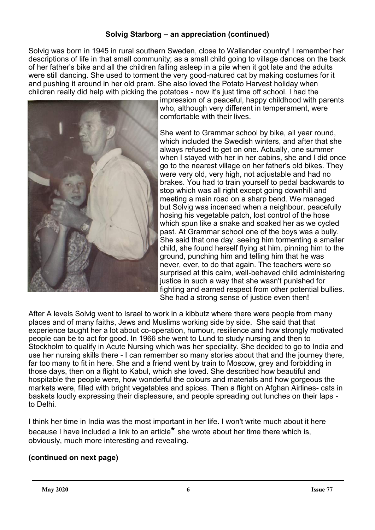# **Solvig Starborg – an appreciation (continued)**

Solvig was born in 1945 in rural southern Sweden, close to Wallander country! I remember her descriptions of life in that small community; as a small child going to village dances on the back of her father's bike and all the children falling asleep in a pile when it got late and the adults were still dancing. She used to torment the very good-natured cat by making costumes for it and pushing it around in her old pram. She also loved the Potato Harvest holiday when children really did help with picking the potatoes - now it's just time off school. I had the



impression of a peaceful, happy childhood with parents who, although very different in temperament, were comfortable with their lives.

She went to Grammar school by bike, all year round, which included the Swedish winters, and after that she always refused to get on one. Actually, one summer when I stayed with her in her cabins, she and I did once go to the nearest village on her father's old bikes. They were very old, very high, not adjustable and had no brakes. You had to train yourself to pedal backwards to stop which was all right except going downhill and meeting a main road on a sharp bend. We managed but Solvig was incensed when a neighbour, peacefully hosing his vegetable patch, lost control of the hose which spun like a snake and soaked her as we cycled past. At Grammar school one of the boys was a bully. She said that one day, seeing him tormenting a smaller child, she found herself flying at him, pinning him to the ground, punching him and telling him that he was never, ever, to do that again. The teachers were so surprised at this calm, well-behaved child administering justice in such a way that she wasn't punished for fighting and earned respect from other potential bullies. She had a strong sense of justice even then!

After A levels Solvig went to Israel to work in a kibbutz where there were people from many places and of many faiths, Jews and Muslims working side by side. She said that that experience taught her a lot about co-operation, humour, resilience and how strongly motivated people can be to act for good. In 1966 she went to Lund to study nursing and then to Stockholm to qualify in Acute Nursing which was her speciality. She decided to go to India and use her nursing skills there - I can remember so many stories about that and the journey there, far too many to fit in here. She and a friend went by train to Moscow, grey and forbidding in those days, then on a flight to Kabul, which she loved. She described how beautiful and hospitable the people were, how wonderful the colours and materials and how gorgeous the markets were, filled with bright vegetables and spices. Then a flight on Afghan Airlines- cats in baskets loudly expressing their displeasure, and people spreading out lunches on their laps to Delhi.

I think her time in India was the most important in her life. I won't write much about it here because I have included a link to an article**\*** she wrote about her time there which is, obviously, much more interesting and revealing.

# **(continued on next page)**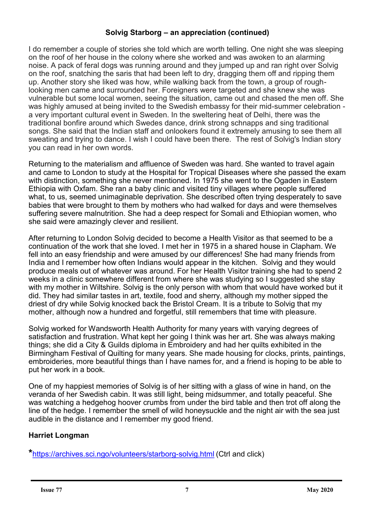# **Solvig Starborg – an appreciation (continued)**

I do remember a couple of stories she told which are worth telling. One night she was sleeping on the roof of her house in the colony where she worked and was awoken to an alarming noise. A pack of feral dogs was running around and they jumped up and ran right over Solvig on the roof, snatching the saris that had been left to dry, dragging them off and ripping them up. Another story she liked was how, while walking back from the town, a group of roughlooking men came and surrounded her. Foreigners were targeted and she knew she was vulnerable but some local women, seeing the situation, came out and chased the men off. She was highly amused at being invited to the Swedish embassy for their mid-summer celebration a very important cultural event in Sweden. In the sweltering heat of Delhi, there was the traditional bonfire around which Swedes dance, drink strong schnapps and sing traditional songs. She said that the Indian staff and onlookers found it extremely amusing to see them all sweating and trying to dance. I wish I could have been there. The rest of Solvig's Indian story you can read in her own words.

Returning to the materialism and affluence of Sweden was hard. She wanted to travel again and came to London to study at the Hospital for Tropical Diseases where she passed the exam with distinction, something she never mentioned. In 1975 she went to the Ogaden in Eastern Ethiopia with Oxfam. She ran a baby clinic and visited tiny villages where people suffered what, to us, seemed unimaginable deprivation. She described often trying desperately to save babies that were brought to them by mothers who had walked for days and were themselves suffering severe malnutrition. She had a deep respect for Somali and Ethiopian women, who she said were amazingly clever and resilient.

After returning to London Solvig decided to become a Health Visitor as that seemed to be a continuation of the work that she loved. I met her in 1975 in a shared house in Clapham. We fell into an easy friendship and were amused by our differences! She had many friends from India and I remember how often Indians would appear in the kitchen. Solvig and they would produce meals out of whatever was around. For her Health Visitor training she had to spend 2 weeks in a clinic somewhere different from where she was studying so I suggested she stay with my mother in Wiltshire. Solvig is the only person with whom that would have worked but it did. They had similar tastes in art, textile, food and sherry, although my mother sipped the driest of dry while Solvig knocked back the Bristol Cream. It is a tribute to Solvig that my mother, although now a hundred and forgetful, still remembers that time with pleasure.

Solvig worked for Wandsworth Health Authority for many years with varying degrees of satisfaction and frustration. What kept her going I think was her art. She was always making things; she did a City & Guilds diploma in Embroidery and had her quilts exhibited in the Birmingham Festival of Quilting for many years. She made housing for clocks, prints, paintings, embroideries, more beautiful things than I have names for, and a friend is hoping to be able to put her work in a book.

One of my happiest memories of Solvig is of her sitting with a glass of wine in hand, on the veranda of her Swedish cabin. It was still light, being midsummer, and totally peaceful. She was watching a hedgehog hoover crumbs from under the bird table and then trot off along the line of the hedge. I remember the smell of wild honeysuckle and the night air with the sea just audible in the distance and I remember my good friend.

# **Harriet Longman**

**\***[https://archives.sci.ngo/volunteers/starborg](https://archives.sci.ngo/volunteers/starborg-solvig.html)-solvig.html (Ctrl and click)